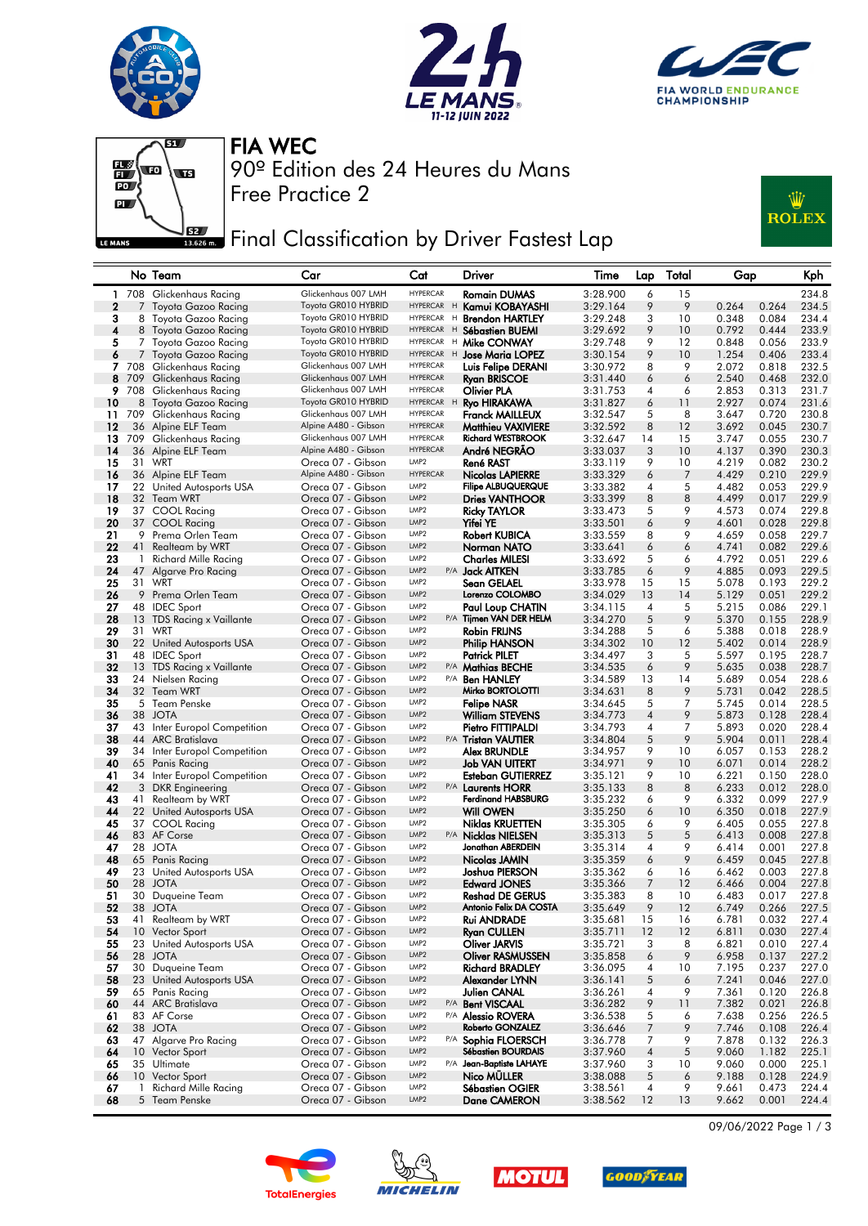







90º Edition des 24 Heures du Mans FIA WEC

Free Practice 2

## Final Classification by Driver Fastest Lap



### No Team Car Cat Driver Time Lap Total Gap Kph 1 708 Glickenhaus Racing Glickenhaus 007 LMH HYPERCAR Romain DUMAS 3:28.900 6 15 234.8 Toyota Gazoo Racing Toyota GR010 HYBRID HYPERCAR H Kamui KOBAYASH<br>Toyota Gazoo Racing Toyota GR010 HYBRID HYPERCAR H Brendon HARTLEY 3 8 Toyota Gazoo Racing Toyota GR010 HYBRID HYPERCAR <sup>H</sup> Brendon HARTLEY 3:29.248 3 10 0.348 0.084 234.4 4 8 Toyota Gazoo Racing Toyota GR010 HYBRID HYPERCAR H Sébastien BUEMI 3:29.692 9 10 0.792 0.444 233.9<br>5 7 Toyota Gazoo Racing Toyota GR010 HYBRID HYPERCAR H Mike CONWAY 3:29.748 9 12 0.848 0.056 233.9 Toyota Gazoo Racing Toyota GR010 HYBRID HYPERCAR H **Mike CONWAY** 3:29.748 9 12 0.848 0.056 233.9<br>Toyota Gazoo Racing Toyota GR010 HYBRID HYPERCAR H **Jose Maria LOPEZ** 3:30.154 9 10 1.254 0.406 233.4 6 7 Toyota Gazoo Racing Toyota GR010 HYBRID HYPERCAR H Jose Maria LOPEZ 3:30.154 9 10 1.254 0.406 233.4<br>2 708 Glickenhaus Racing Glickenhaus 007 LMH HYPERCAR Luis Felipe DERANI 3:30.972 8 9 2.072 0.818 232.5  $7$  Glickenhaus Racing Glickenhaus 007 LMH HYPERCAR<br>Clickenhaus Racing Glickenhaus 007 LMH HYPERCAR 8 709 Glickenhaus Racing Glickenhaus 007 LMH HYPERCAR Ryan BRISCOE 3:31.440 6 6 2.540 0.468 232.0 9 708 Glickenhaus Racing Glickenhaus 007 LMH HYPERCAR **Olivier PLA** 3:31.753 4 6 2.853 0.313 231.7<br>8 Tovota Gazoo Racina 1 Tovota GR010 HYBRID HYPERCAR H **Rvo HIRAKAWA** 3:31 827 6 11 2.927 0.074 231.6 10 8 Toyota Gazoo Racing Toyota GR010 HYBRID HYPERCAR <sup>H</sup> Ryo HIRAKAWA 3:31.827 6 11 2.927 0.074 231.6 11 709 Glickenhaus Racing Glickenhaus 007 LMH HYPERCAR Franck MAILLEUX 3:32.547 5 8 3.647 0.720 230.8 11 33 Alpine Routinus National Concerning Concerning Chief A480 - Gibson HYPERCAR MATTHIEU ALPINE 3:32.592 8 12 3.692 0.045 230.7<br>12 36 Alpine A180 - Glickenhaus Alpine A480 - Gibson HYPERCAR **Michard WESTBROOK** 3:32.592 8 13 709 Glickenhaus Racing Glickenhaus 007 LMH HYPERCAR Richard WESTBROOK 3:32.647 14 15 3.747 0.055 230.7 14 36 Alpine ELF Team Alpine A480 - Gibson HYPERCAR André NEGRÃO 3:33.037 3 10 4.137 0.390 230.3 NOT Creca 07 - Gibson LMP2 **René RAST 119** 3:33.119 9 10 4.219 0.082 230.2<br>Alpine ELF Team Alpine A480 - Gibson HYPERCAR **Nicolas LAPIERRE** 3:33.329 6 7 4.429 0.210 229.9 16 36 Alpine ELF Team Alpine A480 - Gibson HYPERCAR Nicolas LAPIERRE 3:33.329 6 7 4.429 0.210 229.9 17 22 United Autosports USA Oreca 07 - Gibson LMP2 Fili**pe ALBUQUERQUE** 3:33.382 4 5 4.482 0.053 229.9<br>18 32 Team WRT Creca 07 - Gibson LMP2 **Dries VANTHOOR** 3:33.399 8 8 4.499 0.017 229.9 18 32 Team WRT Oreca 07 - Gibson LMP2 Dries VANTHOOR 3:33.399 8 8 4.499 0.017 229.9  $197 - 19$   $197 - 19$   $198 - 19$   $199 - 19$   $199 - 19$   $199 - 19$   $199 - 19$   $199 - 19$   $199 - 19$   $199 - 19$   $199 - 19$   $199 - 19$   $199 - 19$   $199 - 19$   $199 - 19$   $199 - 19$   $199 - 19$   $199 - 19$   $199 - 19$   $199 - 19$   $199 - 19$   $199 - 19$  20 37 COOL Racing Oreca 07 - Gibson <sup>LMP2</sup> **Yifei YE** 3:33.501 6 9 4.601 0.028 229.8 21 9 Prema Orlen Team Creca 07 - Gibson UMP2 Robert KUBICA 3:33.559 8 9 4.659 0.058 229.7<br>22 41 Realteam by WRT Creca 07 - Gibson UMP2 Norman NATO 3:33.641 6 6 4.741 0.082 229.6 22 41 Realteam by WRT Oreca 07 - Gibson LMP2 Norman NATO 3:33.641 6 6 4.741 0.082 229.6 23 1 Richard Mille Racing Creca 07 - Gibson LMP2 Charles MILESI 3:33.692 5 6 4.792 0.051 229.6<br>24 47 Algarve Pro Racing Creca 07 - Gibson LMP2 P/A Jack AITKEN 3:33.785 6 9 4.885 0.093 229.5 47 Algarve Pro Racing **Oreca 07 - Gibson LMP2 P/A Jack AITKEN** 3:33.785 6 **25** 31 WRT Oreca 07 - Gibson LMP2 **Sean GELAEL** 3:33.978 15 5.078 0.193 229.2 26 9 Prema Orlen Team Creca 07 - Gibson LMP2 Lorenzo COLOMBO 3:34.029 13 14 5.129 0.051 229.2 27 48 IDEC Sport Oreca 07 - Gibson UMP2 Paul Loup CHATIN 3:34.115 4 5 5.215 0.086 229.1<br>28 13 TDS Racing x Vaillante Oreca 07 - Gibson UMP2 P/A Tijmen VAN DER HELM 3:34.175 4 5 5.215 0.086 229.1 28 13 TDS Racing x Vaillante Creca 07 - Gibson LMP2 P/A Tijmen VAN DER HELM 3:34.270 5 9 5.370 0.155 228.9<br>29 31 WPT Creca 07 Gibson LMP2 **Pobin FPI INS** 3:34.288 5 6 5.388 0.018 228.9 29 31 WRT Oreca 07 - Gibson <sup>LMP2</sup> **Robin FRIJNS** 3:34.288 5 6 5.388 0.018 228.9 30 22 United Autosports USA Oreca 07 - Gibson LMP2 Philip HANSON 3:34.302 10 12 5.402 0.014 228.9 31 48 IDEC Sport Oreca 07 - Gibson <sup>LMP2</sup> **Patrick PILET** 3:34.497 3 5 5.597 0.195 228.7 32 13 TDS Racing x Vaillante Creca 07 - Gibson LMP2 P/A Mathias BECHE 3:34.535 6 9 5.635 0.038 228.7<br>33 24 Nielsen Racing Creca 07 - Gibson LMP2 P/A Ben HANLEY 3:34.589 13 14 5.689 0.054 228.6 33 24 Nielsen Racing Oreca 07 - Gibson LMP2 P/A Ben HANLEY 3:34.589 13 14 5.689 0.054 228.6 34 32 Team WRT Oreca 07 - Gibson LMP2 Mirko BORTOLOTTI 3:34.631 8 9 5.731 0.042 228.5 35 5 Team Penske Oreca 07 - Gibson LMP2 Felipe NASR 3:34.645 5 7 5.745 0.014 228.5 36 38 JOTA Oreca 07 - Gibson LMP2<br>37 43 Inter Europol Competition Oreca 07 - Gibson LMP2 37 43 Inter Europol Competition Oreca 07 - Gibson LMP2 Pietro FITTIPALDI 3:34.793 4 7 5.893 0.020 228.4 38 44 ARC Bratislava Oreca 07 - Gibson LMP2 P/A Tristan VAUTIER 3:34.804 5 9 5.904 0.011 228.4 39 34 Inter Europol Competition Oreca 07 - Gibson UMP2 Alex BRUNDLE 3:34.957 9 10 6.057 0.153 228.2<br>40 65 Panis Racing Creca 07 - Gibson UMP2 Job VAN UITERT 3:34.971 9 10 6.071 0.014 228.2 40 65 Panis Racing Oreca 07 - Gibson LMP2 Job VAN UITERT 3:34.971 9 10 6.071 0.014 228.2 34 Inter Europol Competition 42 3 DKR Engineering Oreca 07 - Gibson LMP2 P/A Laurents HORR 3:35.133 8 8 6.233 0.012 228.0 43 41 Realteam by WRT **Oreca 07 - Gibson** LMP2 Ferdinand HABSBURG 3:35.232 6 9 6.332 0.099 227.9 44 22 United Autosports USA Oreca 07 - Gibson UMP2 **Will OWEN** 3:35.250 6 10 6.350 0.018 227.9<br>45 37 COOL Racing Oreca 07 - Gibson UMP2 P/A **Nicklas KRUETTEN** 3:35.305 6 9 6.405 0.055 227.8<br>46 83 AF Corse Oreca 07 - Gibson 437 COOL Racing Creca 07 - Gibson LMP2 **Niklas KRUETTEN** 3:35.305 6 9 6.405 0.055 227.8<br>45 AF Corse Creca 07 - Gibson LMP2 P/A **Nicklas NIELSEN** 3:35.313 5 5 6.413 0.008 227.8 83 AF Corse Creca 07 - Gibson LMP2 P/A **Nicklas NIELSEN** 3:35.313 5 5 6.413 0.008 227.8<br>28 JOTA Creca 07 - Gibson LMP2 **Jonathan ABERDEIN** 3:35.314 4 9 6.414 0.001 227.8 47 28 JOTA Oreca 07 - Gibson LMP2 Jonathan ABERDEIN 3:35.314 4 9 6.414 0.001 227.8 48 65 Panis Racing Creca 07 - Gibson LMP2 Nicolas JAMIN 3:35.359 6 9 6.459 0.045 227.8<br>19 23 United Autosports USA Oreca 07 - Gibson LMP2 Joshua PIERSON 3:35.362 6 16 6.462 0.003 227.8 49 23 United Autosports USA Oreca 07 - Gibson LMP2 Joshua PIERSON 3:35.362 6 16 6.462 0.003 227.8 50 28 JOTA Oreca 07 - Gibson LMP2 Edward JONES 3:35.366 7 12 6.466 0.004 227.8 51 30 Duqueine Team Oreca 07 - Gibson LMP2 Reshad DE GERUS 3:35.383 8 10 6.483 0.017 227.8 52 38 JOTA Oreca 07 - Gibson LMP2 Antonio Felix DA COSTA 3:35.649 9 12 6.749 0.266 227.5 53 41 Realteam by WRT Oreca 07 - Gibson LMP2 Rui ANDRADE 3:35.681 15 16 6.781 0.032 227.4 54 10 Vector Sport Oreca 07 - Gibson LMP2 Ryan CULLEN 3:35.711 12 12 6.811 0.030 227.4 55 23 United Autosports USA Creca 07 - Gibson LMP2 **Cliver JARVIS** 3:35.721 3 8 6.821 0.010 227.4<br>56 28 JOTA Creca 07 - Gibson LMP2 **Cliver RASMUSSEN** 3:35.858 6 9 6.958 0.137 227.2 56 28 JOTA Oreca 07 - Gibson LMP2 Oliver RASMUSSEN 3:35.858 6 9 6.958 0.137 227.2 57 30 Duqueine Team Oreca 07 - Gibson LMP2 Richard BRADLEY 3:36.095 4 10 7.195 0.237 227.0 58 23 United Autosports USA Oreca 07 - Gibson LMP2 Alexander LYNN 3:36.141 5 6 7.241 0.046 227.0 59 65 Panis Racing Oreca 07 - Gibson LMP2 Julien CANAL 3:36.261 4 9 7.361 0.120 226.8 60 44 ARC Bratislava Oreca 07 - Gibson LMP2 P/A Bent VISCAAL 3:36.282 9 11 7.382 0.021 226.8 61 83 AF Corse Oreca 07 - Gibson LMP2 P/A Alessio ROVERA 3:36.538 5 6 7.638 0.256 226.5 **62** 38 JOTA Oreca 07 - Gibson <sup>LMP2</sup> **Roberto GONZALEZ** 3:36.646 7 9 7.746 0.108 226.4 63 47 Algarve Pro Racing Creca 07 - Gibson LMP2 P/A Sophia FLOERSCH 3:36.778 7 9 7.878 0.132 226.3<br>64 10 Vector Sport Oreca 07 - Gibson LMP2 Sébastien BOURDAIS 3:37.960 4 5 9.060 1.182 225.1<br>65 35 Ultimate Creca 07 - Gibso 10 Vector Sport Creca 07 - Gibson UMP2 S**ébastien BOURDAIS** 3:37.960 4 5 9.060 1.182 225.1<br>35 Ultimate Creca 07 - Gibson UMP2 P/A **Jean-Baptiste LAHAYE** 3:37.960 3 10 9.060 0.000 225.1 65 35 Ultimate Oreca 07 - Gibson LMP2 P/A Jean-Baptiste LAHAYE 3:37.960 3 10 9.060 0.000 225.1 66 10 Vector Sport Creca 07 - Gibson LMP2 Nico MÜLLER 3:38.088 5 6<br>1 Richard Mille Racing Oreca 07 - Gibson LMP2 **Sébastien OGIER** 3:38.561 4 9. 67 1 Richard Mille Racing Oreca 07 - Gibson LMP2 Sébastien OGIER 3:38.561 4 9 9.661 0.473 224.4 Sébastien OGIER<br>Dane CAMERON









09/06/2022 Page 1 / 3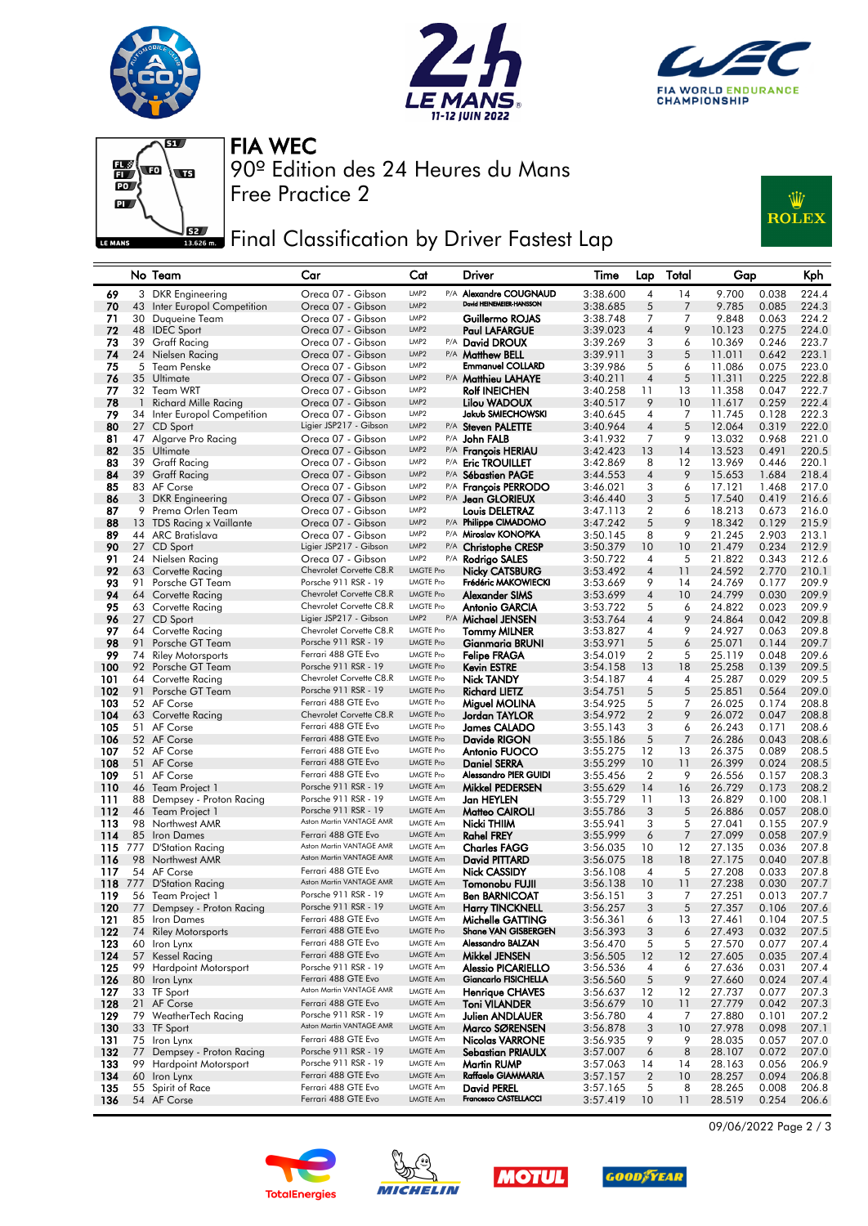







Free Practice 2 90º Edition des 24 Heures du Mans FIA WEC

# Final Classification by Driver Fastest Lap



### No Team Car Cat Driver Time Lap Total Gap Kph 69 3 DKR Engineering Creca 07 - Gibson LMP2 P/A Alexandre COUGNAUD 3:38.600 4 14 9.700 0.038 224.4<br>19 A3 Inter Europol Competition Oreca 07 - Gibson LMP2 Devid HENEMBER-HANSSON 3:38.685 5 7 9.785 0.085 224.3 43 Inter Europol Competition Oreca 07 - Gibson LMP2<br>20 Duqueire Team Oreca 07 Gibson IMP2 71 30 Duqueine Team Oreca 07 - Gibson LMP2 Guillermo ROJAS 3:38.748 7 7 9.848 0.063 224.2 72 48 IDEC Sport Oreca 07 - Gibson LMP2 Paul LAFARGUE 3:39.023 4 9 10.123 0.275 224.0 73 39 Graff Racing Oreca 07 - Gibson LMP2 P/A David DROUX 3:39.269 3 6 10.369 0.246 223.7 74 24 Nielsen Racing Oreca 07 - Gibson LMP2 P/A Matthew BELL 3:39.911 3 5 11.011 0.642 223.1 75 5 Team Penske Oreca 07 - Gibson LMP2 Emmanuel COLLARD 3:39.986 5 6 11.086 0.075 223.0 76 35 Ultimate Oreca 07 - Gibson LMP2 P/A Matthieu LAHAYE 3:40.211 4 5 11.311 0.225 222.8 77 32 Team WRT Oreca 07 - Gibson LMP2 Rolf INEICHEN 3:40.258 11 13 11.358 0.047 222.7 78 1 Richard Mille Racing Oreca 07 - Gibson LMP2 Lilou WADOUX 3:40.517 9 10 11.617 0.259 222.4<br>79 34 Inter Europol Competition Oreca 07 - Gibson LMP2 Jakub SMIECHOWSKI 3:40.645 4 7 11.745 0.128 222.3<br>80 27 CD Sport Ligier 19 11.745 34 Inter Europol Competition Oreca 07 - Gibson LMP2 Jakub SMIECHOWSKI 3:40.645 4 7 11.745 0.128 222.3<br>27 CD Sport Ligier JSP217 - Gibson LMP2 P/A Steven PALETTE 3:40.964 4 5 12.064 0.319 222.0 80 27 CD Sport Ligier JSP217 - Gibson LMP2 P/A Steven PALETTE 3:40.964 4 5 12.064 0.319 222.0 81 47 Algarve Pro Racing Oreca 07 - Gibson LMP2 P/A John FALB 3:41.932 7 9 13.032 0.968 221.0 82 35 Ultimate Creca 07 - Gibson LMP2 P/A **François HERIAU** 3:42.423 13 14 13.523 0.491 220.5<br>83 39 Graff Racing Creca 07 - Gibson LMP2 P/A **Eric TROUILLET** 3:42.869 8 12 13.969 0.446 220.1 83 39 Graff Racing Oreca 07 - Gibson LMP2 P/A Eric TROUILLET 3:42.869 8 12 13.969 0.446 220.1 84 39 Graff Racing Oreca 07 - Gibson LMP2 P/A Sébastien PAGE 3:44.553 4 9 15.653 1.684 218.4 85 83 AF Corse Creca 07 - Gibson LMP<sub>2</sub> P/A **François PERRODO** 3:46.021 3 6 17.121 1.468 217.0<br>86 3 DKR Engineering Creca 07 - Gibson LMP<sub>2</sub> P/A **Jean GLORIEUX** 3:46.440 3 5 17.540 0.419 216.6 86 3 DKR Engineering Oreca 07 - Gibson LMP2 P/A Jean GLORIEUX 3:46.440 3 5 17.540 0.419 216.6  $\frac{8.47.113}{2}$  Douis DELETRAZ 3:47.113 2 6 88 13 TDS Racing x Vaillante Oreca 07 - Gibson LMP2 P/A Philippe CIMADOMO 3:47.242 5 9 18.342 0.129 215.9 88 13 TDS Racing x Vaillante<br>
89 13 TDS Racing x Vaillante<br>
89 44 ARC Bratislava Creca 07 - Gibson LMP2 P/A Miroslav KONOPKA 3:50.145 8 9 21.245 2.903 213.1<br>
89 44 ARC Bratislava Creca 07 - Gibson LMP2 P/A Christophe CRESP 90 27 CD Sport Ligier JSP217 - Gibson LMP2 P/A Christophe CRESP 3:50.379 10 10 21.479 0.234 212.9 91 24 Nielsen Racing Oreca 07 - Gibson LMP2 P/A Rodrigo SALES 3:50.722 4 5 21.822 0.343 212.6 63 Corvette Racing Chevrolet Corvette C8.R LMGTE Pro **Nicky CATSBURG**<br>91 Porsche GT Team **Catalogy Porsche 911 RSR - 19** 1 MGTE Pro **Frédéric MAKOWIFCKI** 93 91 Porsche GT Team Porsche 911 RSR - 19 LMGTE Pro Frédéric MAKOWIECKI 3:53.669 9 14 24.769 0.177 209.9 94 64 Corvette Racing Chevrolet Corvette C8.R LMGTE Pro Alexander SIMS 3:53.699 4 10 24.799 0.030 209.9<br>95 63 Corvette Racing Chevrolet Corvette C8.R LMGTE Pro Antonio GARCIA 3:53.722 5 6 24.822 0.023 209.9 95 63 Corvette Racing Chevrolet Corvette C8.R LMGTE Pro Antonio GARCIA 3:53.722 5 6 24.822 0.023 209.9 27 CD Sport Ligier JSP217 - Gibson LMP2 P/A **Michael JENSEN** 3:53.764 4 9 24.864 0.042<br>64 Corvette Racing Chevrolet Corvette C8.R LMGTE Pro **Tommy MILNER** 3:53.827 4 9 24.927 0.063 97 64 Corvette Racing Chevrolet Corvette C8.R LMGTE Pro **Tommy MILNER** 3:53.827 4 9 24.927 0.063 209.8<br>198 91 Porsche GTTeam Porsche 911 RSR - 19 LMGTE Pro Gianmaria BRUNI 3:53.971 5 6 25.071 0.144 209.7 98 91 Porsche GT Team Porsche 911 RSR - 19 LMGTE Pro Gianmaria BRUNI 3:53.971 5 6 25.071 0.144 209.7 99 74 Riley Motorsports Ferrari 488 GTE Evo LMGTE Pro **Felipe FRAGA** 3:54.019 2 5 25.119 0.048 209.6<br>100 92 Porsche GT Team Porsche 911 RSR - 19 LMGTE Pro Kevin ESTRE 3:54.158 13 18 25.258 0.139 209.5 100 92 Porsche GT Team Porsche 911 RSR - 19 LMGTE Pro Kevin ESTRE 3:54.158 13 18<br>101 64 Corvette Racina Chevrolet Corvette C8.R LMGTE Pro Nick TANDY 3:54.187 4 4 101 64 Corvette Racing Chevrolet Corvette C8.R LMGTE Pro Nick TANDY 3:54.187 4 4 25.287 0.029 209.5 102 91 Porsche GT Team Porsche 911 RSR - 19 LMGTE Pro Richard LIETZ 3:54.751 5 5 25.851 0.564 209.0 103 52 AF Corse Ferrari 488 GTE Evo LMGTE Pro Miguel MOLINA 3:54.925 5 7 26.025 0.174 208.8 104 63 Corvette Racing Chevrolet Corvette C8.R LMGTE Pro Jordan TAYLOR 3:54.972 2 9 26.072 0.047 208.8 105 51 AF Corse Ferrari 488 GTE Evo LMGTE Pro James CALADO 3:55.143 3 6 26.243 0.171 208.6 106 52 AF Corse Ferrari 488 GTE Evo LMGTE Pro **Davide RIGON** 3:55.186 5 7 26.286 0.043 208.6 107 52 AF Corse Ferrari 488 GTE Evo LMGTE Pro Antonio FUOCO 3:55.275 12 13 26.375 0.089 208.5 108 51 AF Corse Ferrari 488 GTE Evo LMGTE Pro Daniel SERRA 3:55.299 10 11 26.399 0.024 208.5 109 51 AF Corse Ferrari 488 GTE Evo LMGTE Pro Alessandro PIER GUIDI 3:55.456 2 9 26.556 0.157 208.3 110 46 Team Project 1 Porsche 911 RSR - 19 LMGTE Am **Mikkel PEDERSEN** 3:55.629 14 16 26.729 0.173 208.2 111 88 Dempsey - Proton Racing Porsche 911 RSR - 19 LMGTE Am Jan HEYLEN 3:55.729 11 13 26.829 0.100 208.1<br>112 46 Team Project 1 – Porsche 911 RSR - 19 LMGTE Am Matteo CAIROLL 3:55.786 3 – 5 26.886 0.057 208.0 112 46 Team Project 1 Porsche 911 RSR - 19 LMGTE Am **Matteo CAIROLI** 3:55.786 3 5 26.886 0.057 208.0<br>113 98 Northwest AMR Aston Martin VANTAGE AMR LMGTE Am **Nicki THIIM** 3:55.941 3 5 27.041 0.155 207.9 98 Northwest AMR 113 Aston Martin VANTAGE AMR LMGTE Am Nicki THIIM 3:55.941 3 5 27.041 0.155 207.9 114 85 Iron Dames Ferrari 488 GTE Evo LMGTE Am Rahel FREY 3:55.999 6 7 27.099 0.058 207.9 115 777 D'Station Racing Aston Martin VANTAGE AMR LMGTE Am Charles FAGG 3:56.035 10 12 27.135 0.036 207.8 98 Northwest AMR 116 Aston Martin VANTAGE AMR LMGTE Am David PITTARD 3:56.075 18 18 27.175 0.040 207.8 117 54 AF Corse Ferrari 488 GTE Evo LMGTE Am Nick CASSIDY 3:56.108 4 5 27.208 0.033 207.8 118 777 D'Station Racing **Aston Martin VANTAGE AMR** LMGTE Am Tomonobu FUJII 3:56.138 10 11 27.238 0.030 207.7 119 56 Team Project 1 Porsche 911 RSR - 19 LMGTE Am Ben BARNICOAT 3:56.151 3 7 27.251 0.013 207.7 120 77 Dempsey - Proton Racing Porsche 911 RSR - 19 LMGTE Am Harry TINCKNELL 3:56.257 3 5 27.357 0.106 207.6<br>121 85 Iron Dames Ferrari 488 GTE Evo LMGTE Am Michelle GATTING 3:56.361 6 13 27.461 0.104 207.5 121 85 Iron Dames **Ferrari 488 GTE Evo** LMGTE Am **Michelle GATTING** 3:56.361 6 13 27.461 0.104 207.5<br>122 74 Riley Motorsports Ferrari 488 GTE Evo LMGTE Pro Shane VAN GISBERGEN 3:56.393 3 6 27.493 0.032 207.5 122 74 Riley Motorsports Ferrari 488 GTE Evo LMGTE Pro Shane VAN GISBERGEN 3:56.393 3 6 27.493 0.032 207.5 123 60 Iron Lynx Ferrari 488 GTE Evo LMGTE Am Alessandro BALZAN 3:56.470 5 5 27.570 0.077 207.4 1**24** 57 Kessel Racing Ferrari 488 GTE Evo LMGTE Am **Mikkel JENSEN** 3:56.505 12 12 27.605 0.035 207.4 125 99 Hardpoint Motorsport Porsche 911 RSR - 19 LMGTE Am Alessio PICARIELLO 3:56.536 4 6 27.636 0.031 207.4<br>126 80 Iron Lynx Ferrari 488 GTE Evo LMGTE Am Giancarlo FISICHELLA 3:56.560 5 9 27.660 0.024 207.4 126 80 Iron Lynx Ferrari 488 GTE Evo LMGTE Am Giancarlo FISICHELLA 3:56.560 5 9 27.660 0.024 207.4 33 TF Sport 127 Aston Martin VANTAGE AMR LMGTE Am Henrique CHAVES 3:56.637 12 12 27.737 0.077 207.3 128 21 AF Corse Ferrari 488 GTE Evo LMGTE Am Toni VILANDER 3:56.679 10 11 27.779 0.042 207.3 129 79 WeatherTech Racing Porsche 911 RSR - 19 LMGTE Am Julien ANDLAUER 3:56.780 4 7 27.880 0.101 207.2 33 Aston Martin VANTAGE AMR LIMGTE Am<br>130 Terrari 488 GTE Evonte AMGTE Am **Nicolas VARRONF** 131 75 Iron Lynx Ferrari 488 GTE Evo LMGTE Am Nicolas VARRONE 3:56.935 9 9 28.035 0.057 207.0 132 77 Dempsey - Proton Racing Porsche 911 RSR - 19 LMGTE Am Sebastian PRIAULX 3:57.007 6 8 28.107 0.072 207.0<br>133 99 Hardpoint Motorsport Porsche 911 RSR - 19 LMGTE Am Martin RUMP 3:57.063 14 14 28.163 0.056 206.9 133 99 Hardpoint Motorsport Porsche 911 RSR - 19 LMGTE Am Martin RUMP 3:57.063 14 14 28.163 0.056 206.9 133 99 Hardpoint Motorsport Porsche 911 RSR - 19 LMGTE Am **Martin RUMP**<br>134 60 Iron Lynx Ferrari 488 GTE Evo LMGTE Am Raffaele GIAMMARIA 3:57.157 2 10 28.257 0.094 206.8<br>135 55 Spirit of Race Ferrari 488 GTE Evo LMGTE Am 135 55 Spirit of Race **Ferrari 488 GTE Evo** LMGTE Am David PEREL 3:57.165 5 8 28.265 0.008 206.8





**136** 54 AF Corse **Ferrari 488 GTE Evo** LMGTE Am **Francesco CASTELLACCI** 3:57,419 10 11 28.519 0.254 206.6





09/06/2022 Page 2 / 3